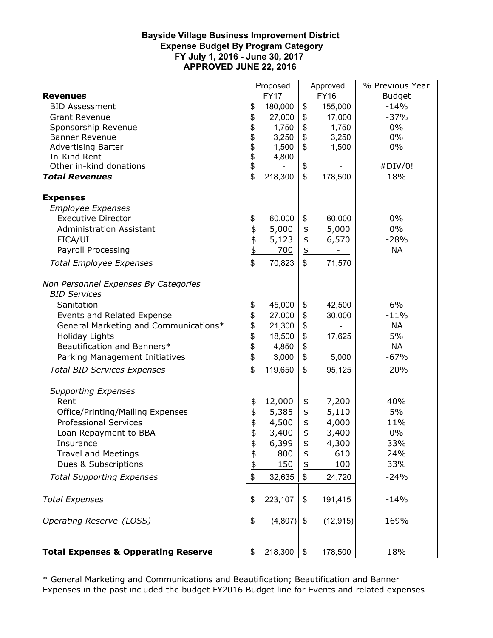## **Personnel Bayside Village Business Improvement District Expense Budget By Program Category FY July 1, 2016 - June 30, 2017 APPROVED JUNE 22, 2016**

|                                                | Proposed    |         | Approved          |           | % Previous Year |  |
|------------------------------------------------|-------------|---------|-------------------|-----------|-----------------|--|
| <b>Revenues</b>                                | <b>FY17</b> |         | <b>FY16</b>       |           | <b>Budget</b>   |  |
| <b>BID Assessment</b>                          | \$          | 180,000 | \$                | 155,000   | $-14%$          |  |
| <b>Grant Revenue</b>                           | \$          | 27,000  | \$                | 17,000    | $-37%$          |  |
| Sponsorship Revenue                            | \$          | 1,750   | \$                | 1,750     | $0\%$           |  |
| <b>Banner Revenue</b>                          | \$          | 3,250   | \$                | 3,250     | $0\%$           |  |
| <b>Advertising Barter</b>                      | \$          | 1,500   | \$                | 1,500     | $0\%$           |  |
| In-Kind Rent                                   | \$          | 4,800   |                   |           |                 |  |
| Other in-kind donations                        | \$          |         | \$                |           | #DIV/0!         |  |
| <b>Total Revenues</b>                          | \$          | 218,300 | \$                | 178,500   | 18%             |  |
| <b>Expenses</b>                                |             |         |                   |           |                 |  |
| <b>Employee Expenses</b>                       |             |         |                   |           |                 |  |
| <b>Executive Director</b>                      | \$          | 60,000  | \$                | 60,000    | 0%              |  |
| <b>Administration Assistant</b>                | \$          | 5,000   | \$                | 5,000     | 0%              |  |
| FICA/UI                                        | \$          | 5,123   | \$                | 6,570     | $-28%$          |  |
| Payroll Processing                             | \$          | 700     | $\overline{\Phi}$ |           | <b>NA</b>       |  |
| <b>Total Employee Expenses</b>                 | \$          | 70,823  | \$                | 71,570    |                 |  |
| Non Personnel Expenses By Categories           |             |         |                   |           |                 |  |
| <b>BID Services</b>                            |             |         |                   |           |                 |  |
| Sanitation                                     | \$          | 45,000  | \$                | 42,500    | 6%              |  |
| Events and Related Expense                     | \$          | 27,000  | \$                | 30,000    | $-11%$          |  |
| General Marketing and Communications*          | \$          | 21,300  | \$                |           | <b>NA</b>       |  |
| Holiday Lights                                 | \$          | 18,500  | \$                | 17,625    | 5%              |  |
| Beautification and Banners*                    | \$          | 4,850   | \$                |           | <b>NA</b>       |  |
| Parking Management Initiatives                 | \$          | 3,000   | $\frac{1}{2}$     | 5,000     | $-67%$          |  |
| <b>Total BID Services Expenses</b>             | \$          | 119,650 | \$                | 95,125    | $-20%$          |  |
| <b>Supporting Expenses</b>                     |             |         |                   |           |                 |  |
| Rent                                           | \$          | 12,000  | \$                | 7,200     | 40%             |  |
| Office/Printing/Mailing Expenses               | \$          | 5,385   | \$                | 5,110     | 5%              |  |
| <b>Professional Services</b>                   |             | 4,500   | \$                | 4,000     | 11%             |  |
| Loan Repayment to BBA                          | \$<br>\$    | 3,400   | \$                | 3,400     | 0%              |  |
| Insurance                                      | \$          | 6,399   | \$                | 4,300     | 33%             |  |
| <b>Travel and Meetings</b>                     | \$          | 800     | \$                | 610       | 24%             |  |
| Dues & Subscriptions                           | \$          | 150     | \$                | 100       | 33%             |  |
| <b>Total Supporting Expenses</b>               | \$          | 32,635  | \$                | 24,720    | $-24%$          |  |
| <b>Total Expenses</b>                          | \$          | 223,107 | \$                | 191,415   | $-14%$          |  |
| Operating Reserve (LOSS)                       | \$          | (4,807) | \$                | (12, 915) | 169%            |  |
| <b>Total Expenses &amp; Opperating Reserve</b> | \$          | 218,300 | \$                | 178,500   | 18%             |  |

\* General Marketing and Communications and Beautification; Beautification and Banner Expenses in the past included the budget FY2016 Budget line for Events and related expenses